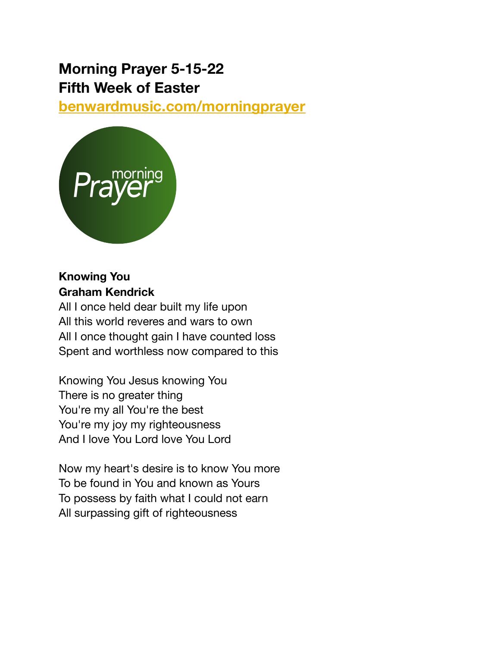# **Morning Prayer 5-15-22 Fifth Week of Easter**

**[benwardmusic.com/morningprayer](http://benwardmusic.com/morningprayer)**



# **Knowing You Graham Kendrick**

All I once held dear built my life upon All this world reveres and wars to own All I once thought gain I have counted loss Spent and worthless now compared to this

Knowing You Jesus knowing You There is no greater thing You're my all You're the best You're my joy my righteousness And I love You Lord love You Lord

Now my heart's desire is to know You more To be found in You and known as Yours To possess by faith what I could not earn All surpassing gift of righteousness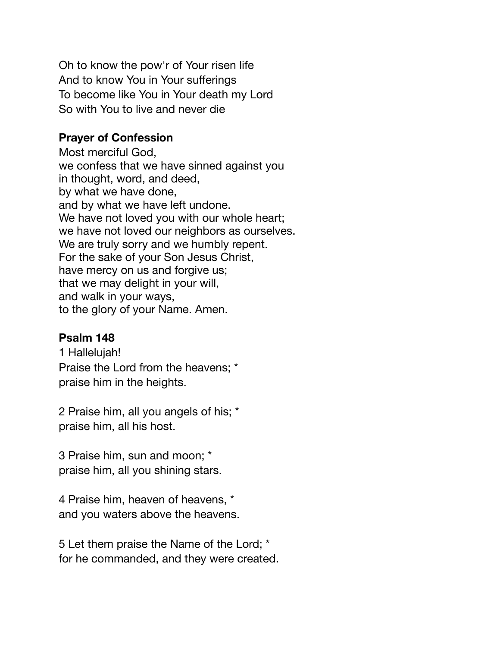Oh to know the pow'r of Your risen life And to know You in Your sufferings To become like You in Your death my Lord So with You to live and never die

#### **Prayer of Confession**

Most merciful God, we confess that we have sinned against you in thought, word, and deed, by what we have done, and by what we have left undone. We have not loved you with our whole heart; we have not loved our neighbors as ourselves. We are truly sorry and we humbly repent. For the sake of your Son Jesus Christ, have mercy on us and forgive us; that we may delight in your will, and walk in your ways, to the glory of your Name. Amen.

## **Psalm 148**

1 Hallelujah! Praise the Lord from the heavens; \* praise him in the heights.

2 Praise him, all you angels of his; \* praise him, all his host.

3 Praise him, sun and moon; \* praise him, all you shining stars.

4 Praise him, heaven of heavens, \* and you waters above the heavens.

5 Let them praise the Name of the Lord; \* for he commanded, and they were created.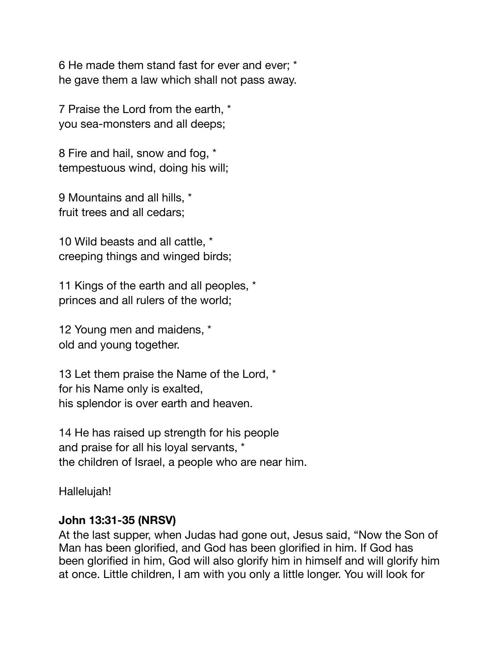6 He made them stand fast for ever and ever; \* he gave them a law which shall not pass away.

7 Praise the Lord from the earth, \* you sea-monsters and all deeps;

8 Fire and hail, snow and fog, \* tempestuous wind, doing his will;

9 Mountains and all hills, \* fruit trees and all cedars;

10 Wild beasts and all cattle, \* creeping things and winged birds;

11 Kings of the earth and all peoples, \* princes and all rulers of the world;

12 Young men and maidens, \* old and young together.

13 Let them praise the Name of the Lord, \* for his Name only is exalted, his splendor is over earth and heaven.

14 He has raised up strength for his people and praise for all his loyal servants, \* the children of Israel, a people who are near him.

Hallelujah!

#### **John 13:31-35 (NRSV)**

At the last supper, when Judas had gone out, Jesus said, "Now the Son of Man has been glorified, and God has been glorified in him. If God has been glorified in him, God will also glorify him in himself and will glorify him at once. Little children, I am with you only a little longer. You will look for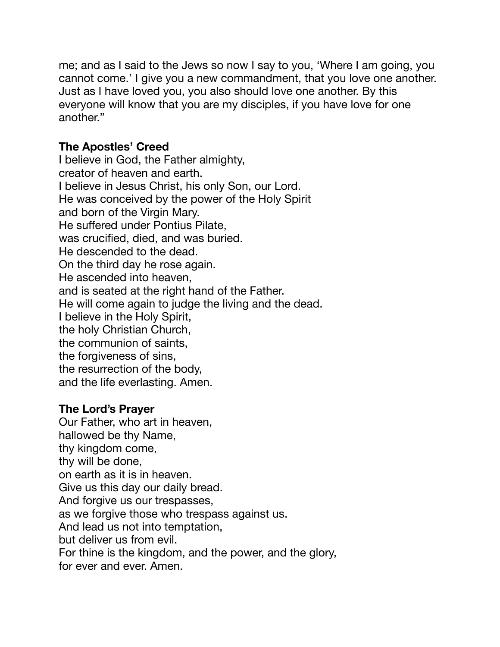me; and as I said to the Jews so now I say to you, 'Where I am going, you cannot come.' I give you a new commandment, that you love one another. Just as I have loved you, you also should love one another. By this everyone will know that you are my disciples, if you have love for one another."

### **The Apostles' Creed**

I believe in God, the Father almighty, creator of heaven and earth. I believe in Jesus Christ, his only Son, our Lord. He was conceived by the power of the Holy Spirit and born of the Virgin Mary. He suffered under Pontius Pilate, was crucified, died, and was buried. He descended to the dead. On the third day he rose again. He ascended into heaven, and is seated at the right hand of the Father. He will come again to judge the living and the dead. I believe in the Holy Spirit, the holy Christian Church, the communion of saints, the forgiveness of sins, the resurrection of the body, and the life everlasting. Amen.

#### **The Lord's Prayer**

Our Father, who art in heaven, hallowed be thy Name, thy kingdom come, thy will be done, on earth as it is in heaven. Give us this day our daily bread. And forgive us our trespasses, as we forgive those who trespass against us. And lead us not into temptation, but deliver us from evil. For thine is the kingdom, and the power, and the glory,

for ever and ever. Amen.